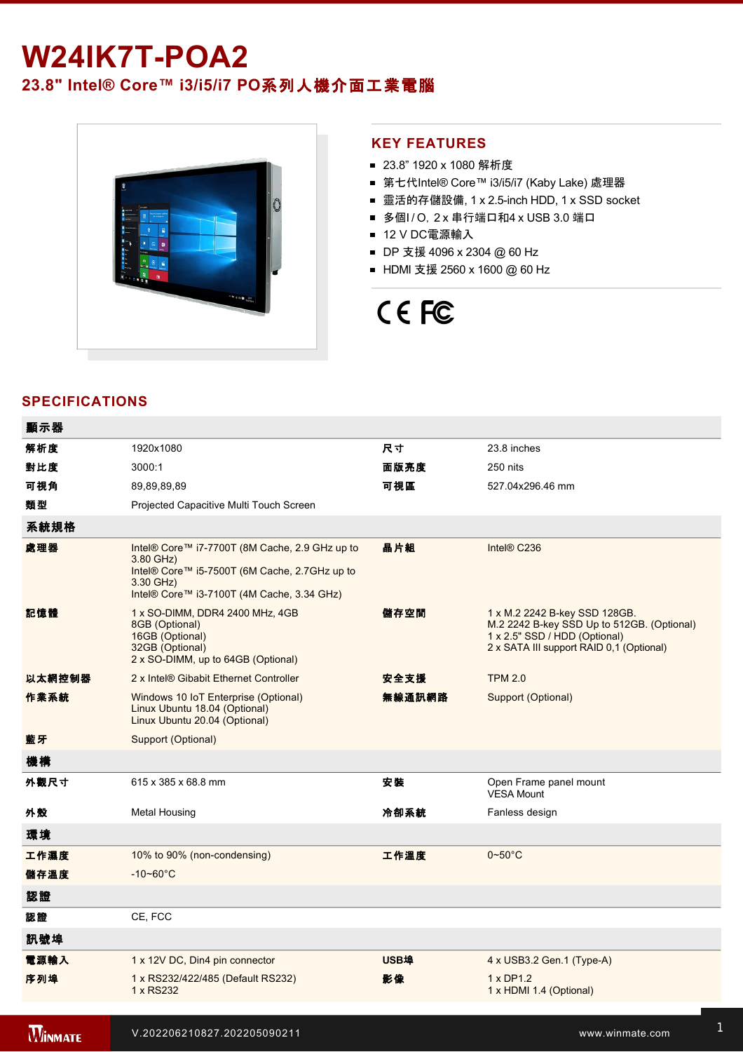## **W24IK7T-POA2**

### **23.8" Intel® Core™ i3/i5/i7 PO**系列人機介面工業電腦



#### **KEY FEATURES**

- 23.8" 1920 x 1080 解析度
- 第七代Intel® Core™ i3/i5/i7 (Kaby Lake) 處理器
- 靈活的存儲設備, 1 x 2.5-inch HDD, 1 x SSD socket
- 多個I/O, 2 x 串行端口和4 x USB 3.0 端口
- 12 V DC電源輸入
- DP 支援 4096 x 2304 @ 60 Hz
- HDMI 支援 2560 x 1600 @ 60 Hz

# CE FC

### **SPECIFICATIONS**

| 顯示器    |                                                                                                                                                                         |             |                                                                                                                                                          |
|--------|-------------------------------------------------------------------------------------------------------------------------------------------------------------------------|-------------|----------------------------------------------------------------------------------------------------------------------------------------------------------|
| 解析度    | 1920x1080                                                                                                                                                               | 尺寸          | 23.8 inches                                                                                                                                              |
| 對比度    | 3000:1                                                                                                                                                                  | 面版亮度        | 250 nits                                                                                                                                                 |
| 可視角    | 89,89,89,89                                                                                                                                                             | 可視區         | 527 04x296.46 mm                                                                                                                                         |
| 類型     | Projected Capacitive Multi Touch Screen                                                                                                                                 |             |                                                                                                                                                          |
| 系統規格   |                                                                                                                                                                         |             |                                                                                                                                                          |
| 處理器    | Intel® Core™ i7-7700T (8M Cache, 2.9 GHz up to<br>3.80 GHz)<br>Intel® Core™ i5-7500T (6M Cache, 2.7GHz up to<br>3.30 GHz)<br>Intel® Core™ i3-7100T (4M Cache, 3.34 GHz) | 晶片組         | Intel® C236                                                                                                                                              |
| 記憶體    | 1 x SO-DIMM, DDR4 2400 MHz, 4GB<br>8GB (Optional)<br>16GB (Optional)<br>32GB (Optional)<br>2 x SO-DIMM, up to 64GB (Optional)                                           | 儲存空間        | 1 x M.2 2242 B-key SSD 128GB.<br>M.2 2242 B-key SSD Up to 512GB. (Optional)<br>1 x 2.5" SSD / HDD (Optional)<br>2 x SATA III support RAID 0,1 (Optional) |
| 以太網控制器 | 2 x Intel® Gibabit Ethernet Controller                                                                                                                                  | 安全支援        | <b>TPM 2.0</b>                                                                                                                                           |
| 作業系統   | Windows 10 IoT Enterprise (Optional)<br>Linux Ubuntu 18.04 (Optional)<br>Linux Ubuntu 20.04 (Optional)                                                                  | 無線通訊網路      | Support (Optional)                                                                                                                                       |
| 藍牙     | Support (Optional)                                                                                                                                                      |             |                                                                                                                                                          |
| 機構     |                                                                                                                                                                         |             |                                                                                                                                                          |
| 外觀尺寸   | 615 x 385 x 68.8 mm                                                                                                                                                     | 安装          | Open Frame panel mount<br>VESA Mount                                                                                                                     |
| 外殼     | Metal Housing                                                                                                                                                           | 冷卻系統        | Fanless design                                                                                                                                           |
| 環境     |                                                                                                                                                                         |             |                                                                                                                                                          |
| 工作濕度   | 10% to 90% (non-condensing)                                                                                                                                             | 工作溫度        | $0\nthicksim50^{\circ}$ C                                                                                                                                |
| 儲存溫度   | $-10 - 60^{\circ}C$                                                                                                                                                     |             |                                                                                                                                                          |
| 認證     |                                                                                                                                                                         |             |                                                                                                                                                          |
| 認證     | CE, FCC                                                                                                                                                                 |             |                                                                                                                                                          |
| 訊號埠    |                                                                                                                                                                         |             |                                                                                                                                                          |
| 電源輸入   | 1 x 12V DC, Din4 pin connector                                                                                                                                          | <b>USB埠</b> | 4 x USB3.2 Gen.1 (Type-A)                                                                                                                                |
| 序列埠    | 1 x RS232/422/485 (Default RS232)<br>1 x RS232                                                                                                                          | 影像          | $1 \times DP1.2$<br>1 x HDMI 1.4 (Optional)                                                                                                              |
|        |                                                                                                                                                                         |             |                                                                                                                                                          |

**WINMATE** 

有線網路 2 x Giga LAN RJ45 Connector 指示燈 1 x LED Indicator for power